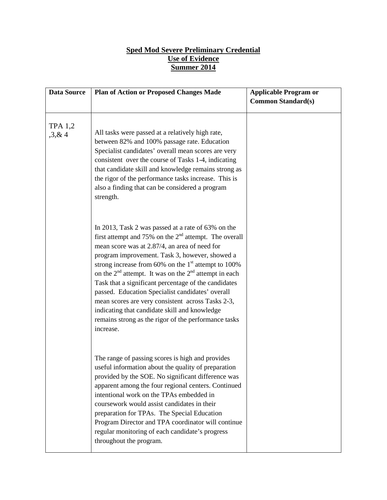## **Sped Mod Severe Preliminary Credential Use of Evidence Summer 2014**

| <b>Data Source</b>      | <b>Plan of Action or Proposed Changes Made</b>                                                                                                                                                                                                                                                                                                                                                                                                                                                                                                                                                                                | <b>Applicable Program or</b> |
|-------------------------|-------------------------------------------------------------------------------------------------------------------------------------------------------------------------------------------------------------------------------------------------------------------------------------------------------------------------------------------------------------------------------------------------------------------------------------------------------------------------------------------------------------------------------------------------------------------------------------------------------------------------------|------------------------------|
|                         |                                                                                                                                                                                                                                                                                                                                                                                                                                                                                                                                                                                                                               | <b>Common Standard(s)</b>    |
| <b>TPA 1,2</b><br>3,8,4 | All tasks were passed at a relatively high rate,<br>between 82% and 100% passage rate. Education<br>Specialist candidates' overall mean scores are very<br>consistent over the course of Tasks 1-4, indicating<br>that candidate skill and knowledge remains strong as<br>the rigor of the performance tasks increase. This is<br>also a finding that can be considered a program<br>strength.                                                                                                                                                                                                                                |                              |
|                         | In 2013, Task 2 was passed at a rate of 63% on the<br>first attempt and 75% on the $2nd$ attempt. The overall<br>mean score was at 2.87/4, an area of need for<br>program improvement. Task 3, however, showed a<br>strong increase from 60% on the $1st$ attempt to 100%<br>on the $2nd$ attempt. It was on the $2nd$ attempt in each<br>Task that a significant percentage of the candidates<br>passed. Education Specialist candidates' overall<br>mean scores are very consistent across Tasks 2-3,<br>indicating that candidate skill and knowledge<br>remains strong as the rigor of the performance tasks<br>increase. |                              |
|                         | The range of passing scores is high and provides<br>useful information about the quality of preparation<br>provided by the SOE. No significant difference was<br>apparent among the four regional centers. Continued<br>intentional work on the TPAs embedded in<br>coursework would assist candidates in their<br>preparation for TPAs. The Special Education<br>Program Director and TPA coordinator will continue<br>regular monitoring of each candidate's progress<br>throughout the program.                                                                                                                            |                              |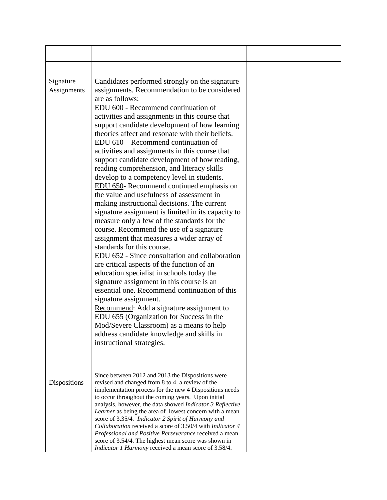| Signature<br>Assignments | Candidates performed strongly on the signature<br>assignments. Recommendation to be considered<br>are as follows:<br>EDU 600 - Recommend continuation of<br>activities and assignments in this course that<br>support candidate development of how learning<br>theories affect and resonate with their beliefs.<br>EDU 610 – Recommend continuation of<br>activities and assignments in this course that<br>support candidate development of how reading,<br>reading comprehension, and literacy skills<br>develop to a competency level in students.<br>EDU 650- Recommend continued emphasis on<br>the value and usefulness of assessment in<br>making instructional decisions. The current<br>signature assignment is limited in its capacity to<br>measure only a few of the standards for the<br>course. Recommend the use of a signature<br>assignment that measures a wider array of<br>standards for this course.<br>EDU 652 - Since consultation and collaboration<br>are critical aspects of the function of an<br>education specialist in schools today the<br>signature assignment in this course is an<br>essential one. Recommend continuation of this<br>signature assignment.<br>Recommend: Add a signature assignment to<br>EDU 655 (Organization for Success in the<br>Mod/Severe Classroom) as a means to help<br>address candidate knowledge and skills in<br>instructional strategies. |  |
|--------------------------|-------------------------------------------------------------------------------------------------------------------------------------------------------------------------------------------------------------------------------------------------------------------------------------------------------------------------------------------------------------------------------------------------------------------------------------------------------------------------------------------------------------------------------------------------------------------------------------------------------------------------------------------------------------------------------------------------------------------------------------------------------------------------------------------------------------------------------------------------------------------------------------------------------------------------------------------------------------------------------------------------------------------------------------------------------------------------------------------------------------------------------------------------------------------------------------------------------------------------------------------------------------------------------------------------------------------------------------------------------------------------------------------------------------|--|
| Dispositions             | Since between 2012 and 2013 the Dispositions were<br>revised and changed from 8 to 4, a review of the<br>implementation process for the new 4 Dispositions needs<br>to occur throughout the coming years. Upon initial<br>analysis, however, the data showed Indicator 3 Reflective<br>Learner as being the area of lowest concern with a mean<br>score of 3.35/4. Indicator 2 Spirit of Harmony and<br>Collaboration received a score of 3.50/4 with <i>Indicator 4</i><br>Professional and Positive Perseverance received a mean<br>score of 3.54/4. The highest mean score was shown in<br>Indicator 1 Harmony received a mean score of 3.58/4.                                                                                                                                                                                                                                                                                                                                                                                                                                                                                                                                                                                                                                                                                                                                                          |  |